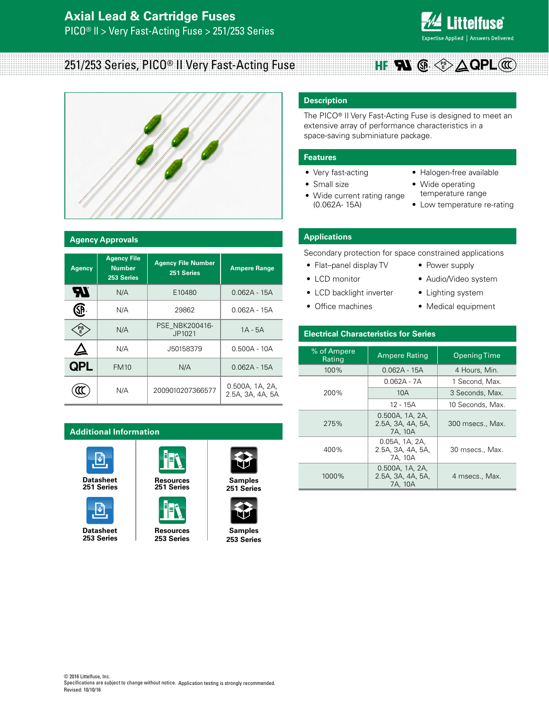

#### 251/253 Series, PICO® II Very Fast-Acting Fuse **PS E QPL**



#### **Agency Approvals**

| <b>Agency</b> | <b>Agency File</b><br><b>Number</b><br>253 Series | <b>Agency File Number</b><br>251 Series | <b>Ampere Range</b>                 |
|---------------|---------------------------------------------------|-----------------------------------------|-------------------------------------|
| ЪT            | N/A                                               | E10480                                  | $0.062A - 15A$                      |
| SP            | N/A                                               | 29862                                   | $0.062A - 15A$                      |
| PS<br>E       | N/A                                               | PSE NBK200416-<br>JP1021                | $1A - 5A$                           |
|               | N/A                                               | J50158379                               | $0.500A - 10A$                      |
| <b>QPL</b>    | <b>FM10</b>                                       | N/A                                     | $0.062A - 15A$                      |
|               | N/A                                               | 2009010207366577                        | 0.500A, 1A, 2A,<br>2.5A, 3A, 4A, 5A |

### **Additional Information**



**[251 Series](http://www.littelfuse.com/~/media/electronics/datasheets/fuses/littelfuse_fuse_251_253_datasheet.pdf.pdf)**



**253 Series**





**253 Series**



**Datasheet [Resources](http://www.littelfuse.com/products/fuses/axial-radial-thru-hole-fuses/pico-fuses/251.aspx#TechnicalResources) Samples [251 Series](http://www.littelfuse.com/products/fuses/axial-radial-thru-hole-fuses/pico-fuses/251.aspx#ElectricalCharacteristics)**



**[253 Series](http://www.littelfuse.com/products/fuses/military-high-reliability-fuses/high-reliability-and-military-fuses/253.aspx#ElectricalCharacteristics)**

# **Description**

The PICO® II Very Fast-Acting Fuse is designed to meet an extensive array of performance characteristics in a space-saving subminiature package.

#### **Features**

- Very fast-acting
- Small size
- Wide current rating range (0.062A- 15A)
- Halogen-free available
- Wide operating temperature range
- Low temperature re-rating

# **Applications**

Secondary protection for space constrained applications

- Flat–panel display TV
- LCD monitor
- LCD backlight inverter
- Office machines
- Power supply
- Audio/Video system
- Lighting system
- Medical equipment

### **Electrical Characteristics for Series**

| % of Ampere<br>Rating | <b>Ampere Rating</b>                            | <b>Opening Time</b> |  |  |
|-----------------------|-------------------------------------------------|---------------------|--|--|
| $100\%$               | 0.062A - 15A                                    | 4 Hours, Min.       |  |  |
|                       | 0.062A - 7A                                     | 1 Second, Max.      |  |  |
| 200%                  | 10A                                             | 3 Seconds, Max.     |  |  |
|                       | 12 - 15A                                        | 10 Seconds, Max.    |  |  |
| 275%                  | 0.500A, 1A, 2A,<br>2.5A, 3A, 4A, 5A,<br>7A, 10A | 300 msecs., Max.    |  |  |
| 400%                  | 0.05A, 1A, 2A,<br>2.5A, 3A, 4A, 5A,<br>7A. 10A  | 30 msecs., Max.     |  |  |
| 1000%                 | 0.500A, 1A, 2A,<br>2.5A, 3A, 4A, 5A,<br>7A, 10A | 4 msecs., Max.      |  |  |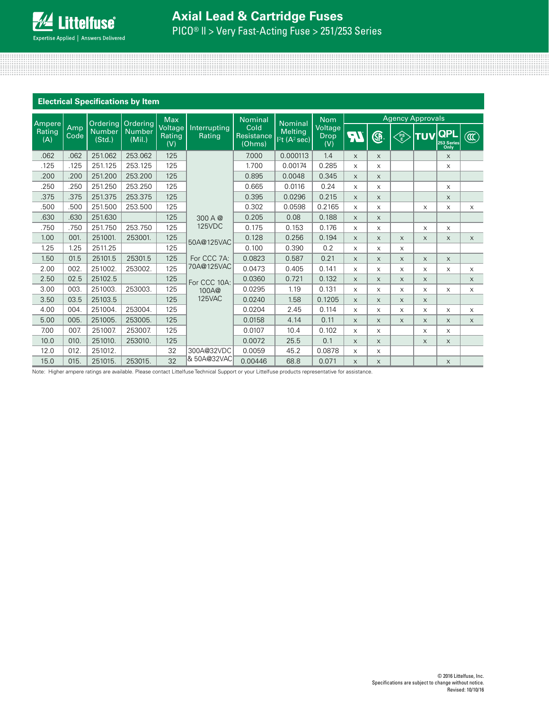| <b>Electrical Specifications by Item</b> |             |                         |                                              |                                 |                        |                              |                                                       |                               |                         |              |          |            |                                  |                        |
|------------------------------------------|-------------|-------------------------|----------------------------------------------|---------------------------------|------------------------|------------------------------|-------------------------------------------------------|-------------------------------|-------------------------|--------------|----------|------------|----------------------------------|------------------------|
|                                          |             |                         |                                              | <b>Max</b>                      |                        | <b>Nominal</b>               |                                                       | <b>Nom</b>                    | <b>Agency Approvals</b> |              |          |            |                                  |                        |
| Ampere<br>Rating<br>(A)                  | Amp<br>Code | <b>Number</b><br>(Std.) | Ordering Ordering<br><b>Number</b><br>(Mil.) | Voltage<br><b>Rating</b><br>(V) | Interrupting<br>Rating | Cold<br>Resistance<br>(Ohms) | <b>Nominal</b><br><b>Melting</b><br>$12t$ $(A^2$ sec) | Voltage<br><b>Drop</b><br>(V) | न्।                     | ®.           | FS<br>E  | <b>TUV</b> | <b>QPL</b><br>253 Series<br>Only | $\widehat{\mathbb{C}}$ |
| .062                                     | .062        | 251.062                 | 253.062                                      | 125                             |                        | 7.000                        | 0.000113                                              | 1.4                           | $\times$                | X            |          |            | X                                |                        |
| .125                                     | .125        | 251.125                 | 253.125                                      | 125                             |                        | 1.700                        | 0.00174                                               | 0.285                         | X                       | X            |          |            | X                                |                        |
| .200                                     | .200        | 251.200                 | 253.200                                      | 125                             |                        | 0.895                        | 0.0048                                                | 0.345                         | $\times$                | X            |          |            |                                  |                        |
| .250                                     | .250        | 251.250                 | 253.250                                      | 125                             |                        | 0.665                        | 0.0116                                                | 0.24                          | X                       | X            |          |            | X                                |                        |
| .375                                     | .375        | 251.375                 | 253.375                                      | 125                             |                        | 0.395                        | 0.0296                                                | 0.215                         | $\times$                | $\times$     |          |            | X                                |                        |
| .500                                     | .500        | 251.500                 | 253.500                                      | 125                             |                        | 0.302                        | 0.0598                                                | 0.2165                        | X                       | X            |          | $\times$   | X                                | $\mathsf X$            |
| .630                                     | .630        | 251.630                 |                                              | 125                             | 300 A @                | 0.205                        | 0.08                                                  | 0.188                         | $\times$                | X            |          |            |                                  |                        |
| .750                                     | .750        | 251.750                 | 253.750                                      | 125                             | <b>125VDC</b>          | 0.175                        | 0.153                                                 | 0.176                         | X                       | X            |          | X          | X                                |                        |
| 1.00                                     | 001.        | 251001.                 | 253001.                                      | 125                             | 50A@125VAC             | 0.128                        | 0.256                                                 | 0.194                         | $\times$                | $\mathsf{X}$ | $\times$ | $\times$   | $\times$                         | $\times$               |
| 1.25                                     | 1.25        | 2511.25                 |                                              | 125                             |                        | 0.100                        | 0.390                                                 | 0.2                           | $\times$                | X            | $\times$ |            |                                  |                        |
| 1.50                                     | 01.5        | 25101.5                 | 25301.5                                      | 125                             | For CCC 7A:            | 0.0823                       | 0.587                                                 | 0.21                          | $\times$                | $\times$     | $\times$ | X          | $\times$                         |                        |
| 2.00                                     | 002.        | 251002.                 | 253002.                                      | 125                             | 70A@125VAC             | 0.0473                       | 0.405                                                 | 0.141                         | X                       | X            | X        | $\times$   | X                                | $\mathsf X$            |
| 2.50                                     | 02.5        | 25102.5                 |                                              | 125                             | For CCC 10A:           | 0.0360                       | 0.721                                                 | 0.132                         | $\times$                | $\mathsf{X}$ | $\times$ | $\times$   |                                  | $\times$               |
| 3.00                                     | 003.        | 251003.                 | 253003.                                      | 125                             | 100A@                  | 0.0295                       | 1.19                                                  | 0.131                         | X                       | X            | $\times$ | X          | $\times$                         | $\mathsf X$            |
| 3.50                                     | 03.5        | 25103.5                 |                                              | 125                             | 125VAC                 | 0.0240                       | 1.58                                                  | 0.1205                        | X                       | $\times$     | $\times$ | $\times$   |                                  |                        |
| 4.00                                     | 004.        | 251004.                 | 253004.                                      | 125                             |                        | 0.0204                       | 2.45                                                  | 0.114                         | X                       | X            | $\times$ | $\times$   | X                                | X                      |
| 5.00                                     | 005.        | 251005.                 | 253005.                                      | 125                             |                        | 0.0158                       | 4.14                                                  | 0.11                          | $\times$                | X            | $\times$ | $\times$   | $\times$                         | $\times$               |
| 7.00                                     | 007.        | 251007                  | 253007                                       | 125                             |                        | 0.0107                       | 10.4                                                  | 0.102                         | X                       | X            |          | $\times$   | X                                |                        |
| 10.0                                     | 010.        | 251010.                 | 253010.                                      | 125                             |                        | 0.0072                       | 25.5                                                  | 0.1                           | $\times$                | X            |          | $\times$   | $\times$                         |                        |
| 12.0                                     | 012.        | 251012.                 |                                              | 32                              | 300A@32VDC             | 0.0059                       | 45.2                                                  | 0.0878                        | $\times$                | X            |          |            |                                  |                        |
| 15.0                                     | 015.        | 251015.                 | 253015.                                      | 32                              | & 50A@32VAC            | 0.00446                      | 68.8                                                  | 0.071                         | X                       | X            |          |            | $\times$                         |                        |

Note: Higher ampere ratings are available. Please contact Littelfuse Technical Support or your Littelfuse products representative for assistance.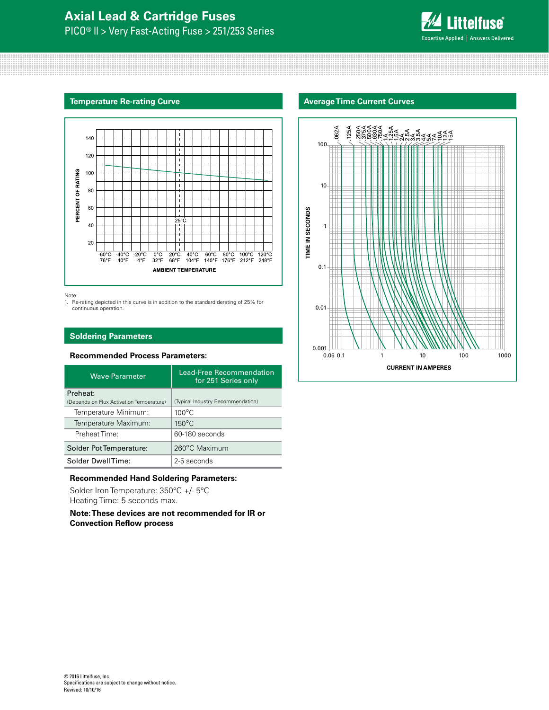

#### **Temperature Re-rating Curve**



Note:

1. Re-rating depicted in this curve is in addition to the standard derating of 25% for continuous operation.

### **Soldering Parameters**

## **Recommended Process Parameters:**

| <b>Wave Parameter</b>                    | Lead-Free Recommendation<br>for 251 Series only |  |  |
|------------------------------------------|-------------------------------------------------|--|--|
| Preheat:                                 |                                                 |  |  |
| (Depends on Flux Activation Temperature) | (Typical Industry Recommendation)               |  |  |
| Temperature Minimum:                     | $100^{\circ}$ C                                 |  |  |
| Temperature Maximum:                     | $150^{\circ}$ C                                 |  |  |
| Preheat Time:                            | 60-180 seconds                                  |  |  |
| Solder Pot Temperature:                  | 260°C Maximum                                   |  |  |
| Solder DwellTime:                        | 2-5 seconds                                     |  |  |

#### **Recommended Hand Soldering Parameters:**

Solder Iron Temperature: 350°C +/- 5°C Heating Time: 5 seconds max.

**Note: These devices are not recommended for IR or Convection Reflow process**

#### **Average Time Current Curves**